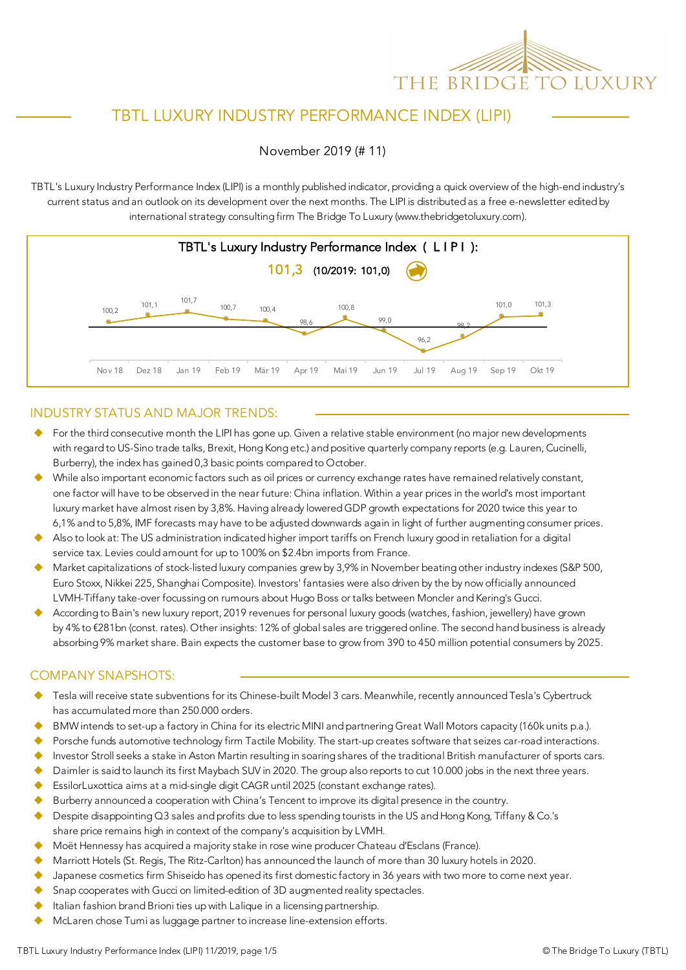

# TBTL LUXURY INDUSTRY PERFORMANCE INDEX (LIPI)

November 2019 (# 11)

TBTL's Luxury Industry Performance Index (LIPI) is a monthly published indicator, providing a quick overview of the high-end industry's current status and an outlook on its development over the next months. The LIPI is distributed as a free e-newsletter edited by international strategy consulting firm The Bridge To Luxury (www.thebridgetoluxury.com).



#### INDUSTRY STATUS AND MAJOR TRENDS:

- $\blacklozenge$  For the third consecutive month the LIPI has gone up. Given a relative stable environment (no major new developments with regard to US-Sino trade talks, Brexit, Hong Kong etc.) and positive quarterly company reports (e.g. Lauren, Cucinelli, Burberry), the index has gained 0,3 basic points compared to October.
- While also important economic factors such as oil prices or currency exchange rates have remained relatively constant, one factor will have to be observed in the near future: China inflation. Within a year prices in the world's most important luxury market have almost risen by 3,8%. Having already lowered GDP growth expectations for 2020 twice this year to 6,1% and to 5,8%, IMF forecasts may have to be adjusted downwards again in light of further augmenting consumer prices.
- Also to look at: The US administration indicated higher import tariffs on French luxury good in retaliation for a digital service tax. Levies could amount for up to 100% on \$2.4bn imports from France.
- Market capitalizations of stock-listed luxury companies grew by 3,9% in November beating other industry indexes (S&P 500, Euro Stoxx, Nikkei 225, Shanghai Composite). Investors' fantasies were also driven by the by now officially announced LVMH-Tiffany take-over focussing on rumours about Hugo Boss or talks between Moncler and Kering's Gucci.
- According to Bain's new luxury report, 2019 revenues for personal luxury goods (watches, fashion, jewellery) have grown by 4% to €281bn (const. rates). Other insights: 12% of global sales are triggered online. The second hand business is already absorbing 9% market share. Bain expects the customer base to grow from 390 to 450 million potential consumers by 2025.

#### COMPANY SNAPSHOTS:

- Tesla will receive state subventions for its Chinese-built Model 3 cars. Meanwhile, recently announced Tesla's Cybertruck has accumulated more than 250.000 orders.
- BMW intends to set-up a factory in China for its electric MINI and partnering Great Wall Motors capacity (160k units p.a.).
- Porsche funds automotive technology firm Tactile Mobility. The start-up creates software that seizes car-road interactions.
- Investor Stroll seeks a stake in Aston Martin resulting in soaring shares of the traditional British manufacturer of sports cars.
- Daimler is said to launch its first Maybach SUV in 2020. The group also reports to cut 10.000 jobs in the next three years.
- EssilorLuxottica aims at a mid-single digit CAGR until 2025 (constant exchange rates).
- Burberry announced a cooperation with China's Tencent to improve its digital presence in the country.
- Despite disappointing Q3 sales and profits due to less spending tourists in the US and Hong Kong, Tiffany & Co.'s share price remains high in context of the company's acquisition by LVMH.
- u Moët Hennessy has acquired a majority stake in rose wine producer Chateau d'Esclans (France).
- Marriott Hotels (St. Regis, The Ritz-Carlton) has announced the launch of more than 30 luxury hotels in 2020.
- Japanese cosmetics firm Shiseido has opened its first domestic factory in 36 years with two more to come next year.
- Snap cooperates with Gucci on limited-edition of 3D augmented reality spectacles.
- Italian fashion brand Brioni ties up with Lalique in a licensing partnership.
- McLaren chose Tumi as luggage partner to increase line-extension efforts.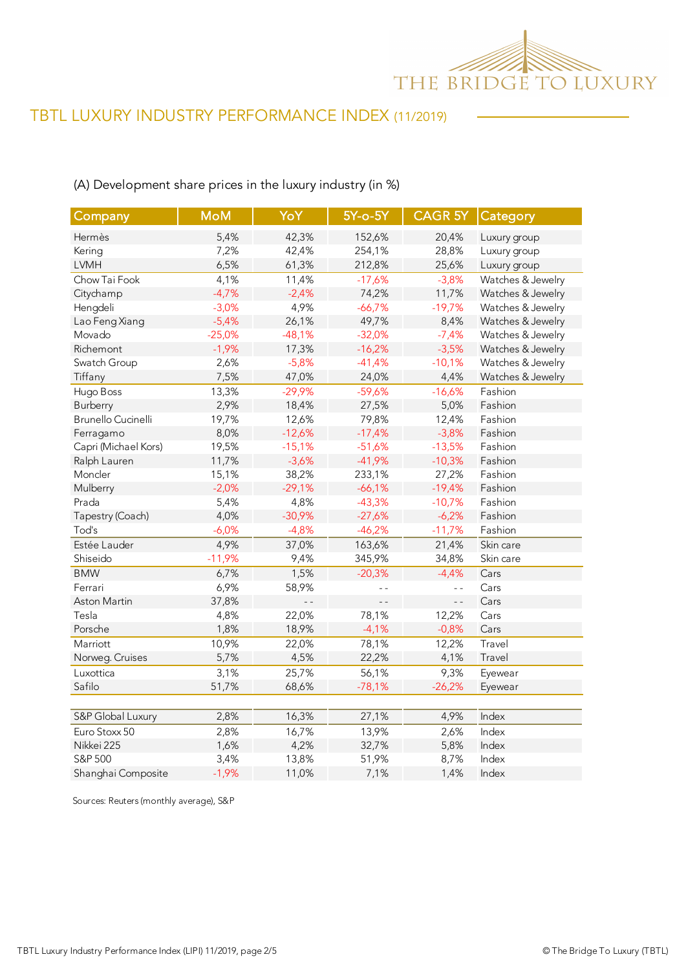

## (A) Development share prices in the luxury industry (in %)

| Company                   | <b>MoM</b> | YoY            | 5Y-o-5Y        | <b>CAGR 5Y Category</b> |                   |
|---------------------------|------------|----------------|----------------|-------------------------|-------------------|
| Hermès                    | 5,4%       | 42,3%          | 152,6%         | 20,4%                   | Luxury group      |
| Kering                    | 7,2%       | 42,4%          | 254,1%         | 28,8%                   | Luxury group      |
| <b>LVMH</b>               | 6,5%       | 61,3%          | 212,8%         | 25,6%                   | Luxury group      |
| Chow Tai Fook             | 4,1%       | 11,4%          | $-17,6%$       | $-3,8%$                 | Watches & Jewelry |
| Citychamp                 | $-4,7%$    | $-2,4%$        | 74,2%          | 11,7%                   | Watches & Jewelry |
| Hengdeli                  | $-3,0%$    | 4,9%           | $-66,7%$       | $-19,7%$                | Watches & Jewelry |
| Lao Feng Xiang            | $-5,4%$    | 26,1%          | 49,7%          | 8,4%                    | Watches & Jewelry |
| Movado                    | $-25,0%$   | $-48,1%$       | $-32,0%$       | $-7,4%$                 | Watches & Jewelry |
| Richemont                 | $-1,9%$    | 17,3%          | $-16,2%$       | $-3,5%$                 | Watches & Jewelry |
| Swatch Group              | 2,6%       | $-5,8%$        | $-41,4%$       | $-10,1%$                | Watches & Jewelry |
| Tiffany                   | 7,5%       | 47,0%          | 24,0%          | 4,4%                    | Watches & Jewelry |
| Hugo Boss                 | 13,3%      | $-29,9%$       | $-59,6%$       | $-16,6%$                | Fashion           |
| Burberry                  | 2,9%       | 18,4%          | 27,5%          | 5,0%                    | Fashion           |
| <b>Brunello Cucinelli</b> | 19,7%      | 12,6%          | 79,8%          | 12,4%                   | Fashion           |
| Ferragamo                 | 8,0%       | $-12,6%$       | $-17,4%$       | $-3,8%$                 | Fashion           |
| Capri (Michael Kors)      | 19,5%      | $-15,1%$       | $-51,6%$       | $-13,5%$                | Fashion           |
| Ralph Lauren              | 11,7%      | $-3,6%$        | $-41,9%$       | $-10,3%$                | Fashion           |
| Moncler                   | 15,1%      | 38,2%          | 233,1%         | 27,2%                   | Fashion           |
| Mulberry                  | $-2,0%$    | $-29,1%$       | $-66,1%$       | $-19,4%$                | Fashion           |
| Prada                     | 5,4%       | 4,8%           | $-43,3%$       | $-10,7%$                | Fashion           |
| Tapestry (Coach)          | 4,0%       | $-30,9%$       | $-27,6%$       | $-6,2%$                 | Fashion           |
| Tod's                     | $-6,0%$    | $-4,8%$        | $-46,2%$       | $-11,7%$                | Fashion           |
| Estée Lauder              | 4,9%       | 37,0%          | 163,6%         | 21,4%                   | Skin care         |
| Shiseido                  | $-11,9%$   | 9,4%           | 345,9%         | 34,8%                   | Skin care         |
| <b>BMW</b>                | 6,7%       | 1,5%           | $-20,3%$       | $-4,4%$                 | Cars              |
| Ferrari                   | 6,9%       | 58,9%          |                | $\overline{a}$          | Cars              |
| Aston Martin              | 37,8%      | $\overline{a}$ | $\overline{a}$ | $\overline{a}$          | Cars              |
| Tesla                     | 4,8%       | 22,0%          | 78,1%          | 12,2%                   | Cars              |
| Porsche                   | 1,8%       | 18,9%          | $-4,1%$        | $-0,8%$                 | Cars              |
| Marriott                  | 10,9%      | 22,0%          | 78,1%          | 12,2%                   | Travel            |
| Norweg. Cruises           | 5,7%       | 4,5%           | 22,2%          | 4,1%                    | Travel            |
| Luxottica                 | 3,1%       | 25,7%          | 56,1%          | 9,3%                    | Eyewear           |
| Safilo                    | 51,7%      | 68,6%          | $-78,1%$       | $-26,2%$                | Eyewear           |
|                           |            |                |                |                         |                   |
| S&P Global Luxury         | 2,8%       | 16,3%          | 27,1%          | 4,9%                    | Index             |
| Euro Stoxx 50             | 2,8%       | 16,7%          | 13,9%          | 2,6%                    | Index             |
| Nikkei 225                | 1,6%       | 4,2%           | 32,7%          | 5,8%                    | Index             |
| S&P 500                   | 3,4%       | 13,8%          | 51,9%          | 8,7%                    | Index             |
| Shanghai Composite        | $-1,9%$    | 11,0%          | 7,1%           | 1,4%                    | Index             |

Sources: Reuters (monthly average), S&P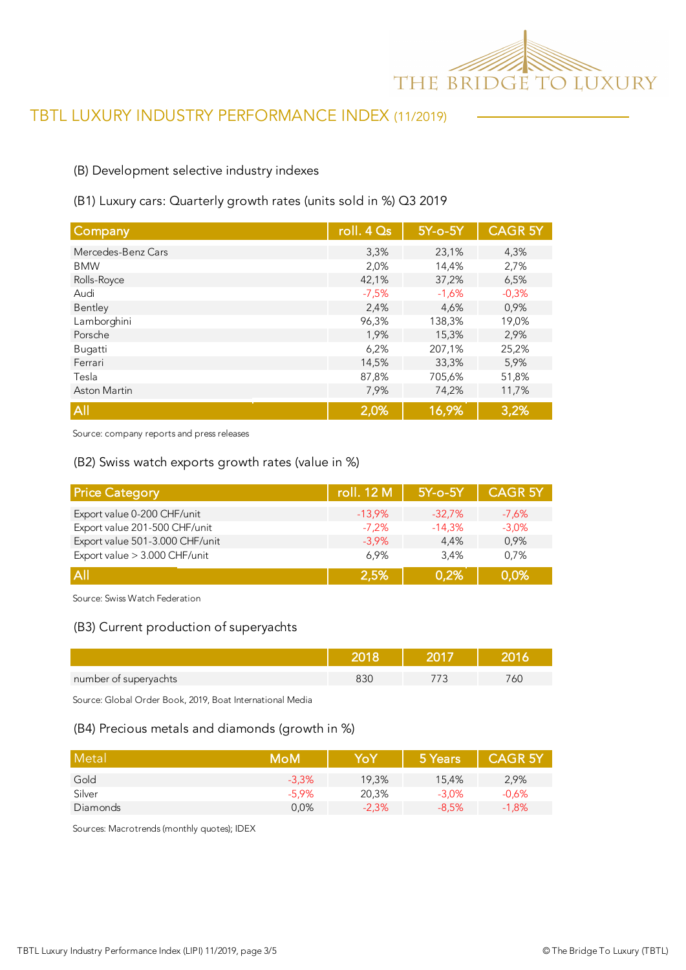

#### (B) Development selective industry indexes

#### (B1) Luxury cars: Quarterly growth rates (units sold in %) Q3 2019

| Company             | roll. 4 Qs | $5Y$ -o- $5Y$ | <b>CAGR 5Y</b> |
|---------------------|------------|---------------|----------------|
| Mercedes-Benz Cars  | 3,3%       | 23,1%         | 4,3%           |
| <b>BMW</b>          | 2,0%       | 14,4%         | 2,7%           |
| Rolls-Royce         | 42,1%      | 37,2%         | 6,5%           |
| Audi                | $-7,5%$    | $-1,6%$       | $-0,3%$        |
| Bentley             | 2,4%       | 4,6%          | 0,9%           |
| Lamborghini         | 96,3%      | 138,3%        | 19,0%          |
| Porsche             | 1,9%       | 15,3%         | 2,9%           |
| Bugatti             | 6,2%       | 207,1%        | 25,2%          |
| Ferrari             | 14,5%      | 33,3%         | 5,9%           |
| Tesla               | 87,8%      | 705,6%        | 51,8%          |
| <b>Aston Martin</b> | 7,9%       | 74,2%         | 11,7%          |
| All                 | 2,0%       | 16,9%         | 3,2%           |

Source: company reports and press releases

#### (B2) Swiss watch exports growth rates (value in %)

| <b>Price Category</b>           | roll. 12 M | $5Y$ -o- $5Y$ | <b>CAGR 5Y</b> |
|---------------------------------|------------|---------------|----------------|
| Export value 0-200 CHF/unit     | $-13.9\%$  | $-32.7%$      | $-7,6%$        |
| Export value 201-500 CHF/unit   | $-7.2%$    | $-14,3%$      | $-3,0\%$       |
| Export value 501-3.000 CHF/unit | $-3.9\%$   | 4.4%          | 0.9%           |
| Export value > 3.000 CHF/unit   | 6.9%       | 3.4%          | 0.7%           |
| A                               | 2.5%       | 0.2%          | 0,0%           |

Source: Swiss Watch Federation

#### (B3) Current production of superyachts

| number of superyachts |  | C. |
|-----------------------|--|----|

Source: Global Order Book, 2019, Boat International Media

#### (B4) Precious metals and diamonds (growth in %)

| Metal    | MoM     | YoY     | 5 Years  | <b>CAGR 5Y</b> |
|----------|---------|---------|----------|----------------|
| Gold     | $-3,3%$ | 19,3%   | 15.4%    | 2,9%           |
| Silver   | $-5.9%$ | 20,3%   | $-3.0\%$ | $-0.6%$        |
| Diamonds | 0,0%    | $-2,3%$ | $-8.5%$  | $-1,8%$        |

Sources: Macrotrends (monthly quotes); IDEX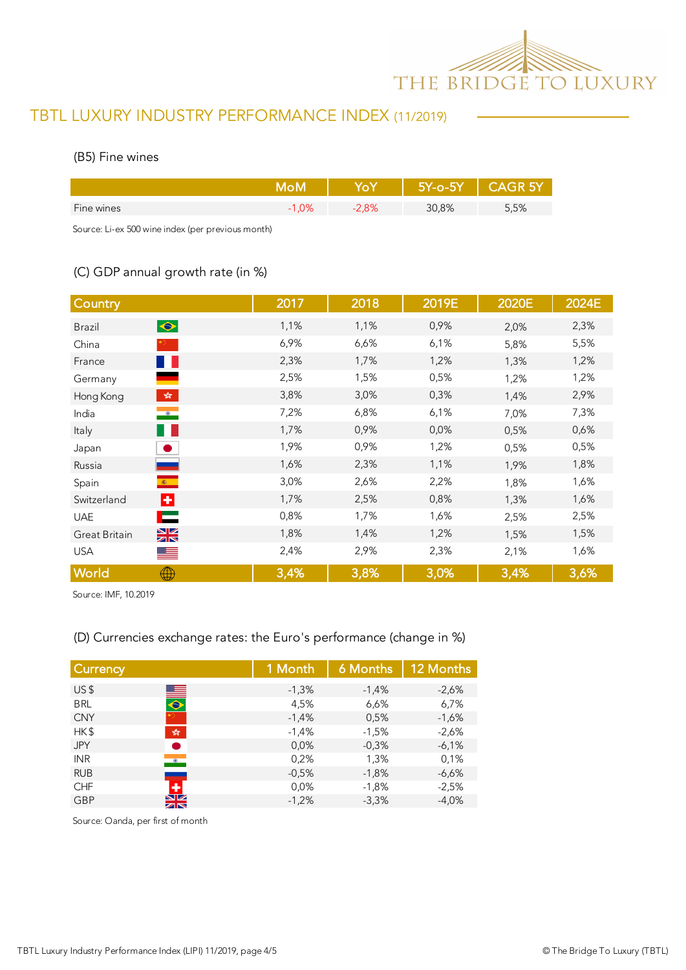

#### (B5) Fine wines

|            |    | 77-0-W |      |
|------------|----|--------|------|
| Fine wines | 8% | 30,8%  | 5,5% |

Source: Li-ex 500 wine index (per previous month)

## (C) GDP annual growth rate (in %)

| Country                                              | 2017 | 2018 | 2019E | 2020E | 2024E |
|------------------------------------------------------|------|------|-------|-------|-------|
| $\bullet$<br><b>Brazil</b>                           | 1,1% | 1,1% | 0,9%  | 2,0%  | 2,3%  |
| China                                                | 6,9% | 6,6% | 6,1%  | 5,8%  | 5,5%  |
| France<br>a ka                                       | 2,3% | 1,7% | 1,2%  | 1,3%  | 1,2%  |
| Germany                                              | 2,5% | 1,5% | 0,5%  | 1,2%  | 1,2%  |
| $\mathcal{L}^{\text{max}}_{\text{max}}$<br>Hong Kong | 3,8% | 3,0% | 0,3%  | 1,4%  | 2,9%  |
| $\bullet$<br>India                                   | 7,2% | 6,8% | 6,1%  | 7,0%  | 7,3%  |
| w<br>Italy                                           | 1,7% | 0,9% | 0,0%  | 0,5%  | 0,6%  |
| Japan                                                | 1,9% | 0,9% | 1,2%  | 0,5%  | 0,5%  |
| Russia                                               | 1,6% | 2,3% | 1,1%  | 1,9%  | 1,8%  |
| $\langle \hat{\mathbf{x}} \rangle$<br>Spain          | 3,0% | 2,6% | 2,2%  | 1,8%  | 1,6%  |
| H.<br>Switzerland                                    | 1,7% | 2,5% | 0,8%  | 1,3%  | 1,6%  |
| ⊏<br><b>UAE</b>                                      | 0,8% | 1,7% | 1,6%  | 2,5%  | 2,5%  |
| $\frac{N}{N}$<br>Great Britain                       | 1,8% | 1,4% | 1,2%  | 1,5%  | 1,5%  |
| <b>USA</b><br>▀▀                                     | 2,4% | 2,9% | 2,3%  | 2,1%  | 1,6%  |
| World<br>⊕                                           | 3,4% | 3,8% | 3,0%  | 3,4%  | 3,6%  |

Source: IMF, 10.2019

### (D) Currencies exchange rates: the Euro's performance (change in %)

| <b>Currency</b>                      | 1 Month | 6 Months | 12 Months |
|--------------------------------------|---------|----------|-----------|
| US <sub>5</sub><br>▆▅                | $-1,3%$ | $-1,4%$  | $-2,6%$   |
| <b>BRL</b><br>$\bullet$              | 4,5%    | 6,6%     | 6,7%      |
| <b>CNY</b>                           | $-1,4%$ | 0,5%     | $-1,6%$   |
| HK\$<br>$\frac{\sqrt{3}}{2\sqrt{3}}$ | $-1,4%$ | $-1,5%$  | $-2,6%$   |
| <b>JPY</b>                           | 0,0%    | $-0,3%$  | $-6,1%$   |
| <b>INR</b><br>$\bullet$              | 0,2%    | 1,3%     | 0,1%      |
| <b>RUB</b>                           | $-0.5%$ | $-1,8%$  | $-6,6%$   |
| ٠<br><b>CHF</b>                      | 0,0%    | $-1,8%$  | $-2.5%$   |
| NZ.<br><b>GBP</b><br>zr              | $-1,2%$ | $-3,3%$  | $-4,0%$   |

Source: Oanda, per first of month